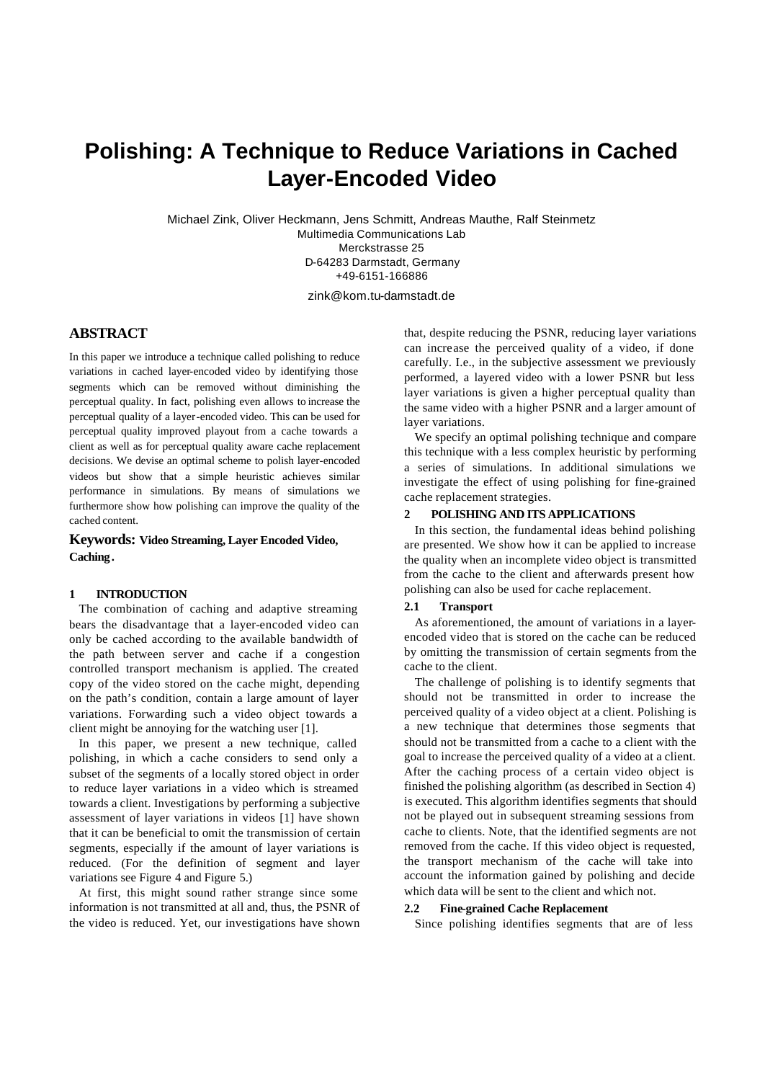# **Polishing: A Technique to Reduce Variations in Cached Layer-Encoded Video**

Michael Zink, Oliver Heckmann, Jens Schmitt, Andreas Mauthe, Ralf Steinmetz Multimedia Communications Lab Merckstrasse 25 D-64283 Darmstadt, Germany +49-6151-166886

zink@kom.tu-darmstadt.de

# **ABSTRACT**

In this paper we introduce a technique called polishing to reduce variations in cached layer-encoded video by identifying those segments which can be removed without diminishing the perceptual quality. In fact, polishing even allows to increase the perceptual quality of a layer-encoded video. This can be used for perceptual quality improved playout from a cache towards a client as well as for perceptual quality aware cache replacement decisions. We devise an optimal scheme to polish layer-encoded videos but show that a simple heuristic achieves similar performance in simulations. By means of simulations we furthermore show how polishing can improve the quality of the cached content.

# **Keywords: Video Streaming, Layer Encoded Video, Caching .**

#### **1 INTRODUCTION**

The combination of caching and adaptive streaming bears the disadvantage that a layer-encoded video can only be cached according to the available bandwidth of the path between server and cache if a congestion controlled transport mechanism is applied. The created copy of the video stored on the cache might, depending on the path's condition, contain a large amount of layer variations. Forwarding such a video object towards a client might be annoying for the watching user [1].

In this paper, we present a new technique, called polishing, in which a cache considers to send only a subset of the segments of a locally stored object in order to reduce layer variations in a video which is streamed towards a client. Investigations by performing a subjective assessment of layer variations in videos [1] have shown that it can be beneficial to omit the transmission of certain segments, especially if the amount of layer variations is reduced. (For the definition of segment and layer variations see Figure 4 and Figure 5.)

At first, this might sound rather strange since some information is not transmitted at all and, thus, the PSNR of the video is reduced. Yet, our investigations have shown that, despite reducing the PSNR, reducing layer variations can increase the perceived quality of a video, if done carefully. I.e., in the subjective assessment we previously performed, a layered video with a lower PSNR but less layer variations is given a higher perceptual quality than the same video with a higher PSNR and a larger amount of layer variations.

We specify an optimal polishing technique and compare this technique with a less complex heuristic by performing a series of simulations. In additional simulations we investigate the effect of using polishing for fine-grained cache replacement strategies.

# **2 POLISHING AND ITS APPLICATIONS**

In this section, the fundamental ideas behind polishing are presented. We show how it can be applied to increase the quality when an incomplete video object is transmitted from the cache to the client and afterwards present how polishing can also be used for cache replacement.

### **2.1 Transport**

As aforementioned, the amount of variations in a layerencoded video that is stored on the cache can be reduced by omitting the transmission of certain segments from the cache to the client.

The challenge of polishing is to identify segments that should not be transmitted in order to increase the perceived quality of a video object at a client. Polishing is a new technique that determines those segments that should not be transmitted from a cache to a client with the goal to increase the perceived quality of a video at a client. After the caching process of a certain video object is finished the polishing algorithm (as described in Section 4) is executed. This algorithm identifies segments that should not be played out in subsequent streaming sessions from cache to clients. Note, that the identified segments are not removed from the cache. If this video object is requested, the transport mechanism of the cache will take into account the information gained by polishing and decide which data will be sent to the client and which not.

# **2.2 Fine-grained Cache Replacement**

Since polishing identifies segments that are of less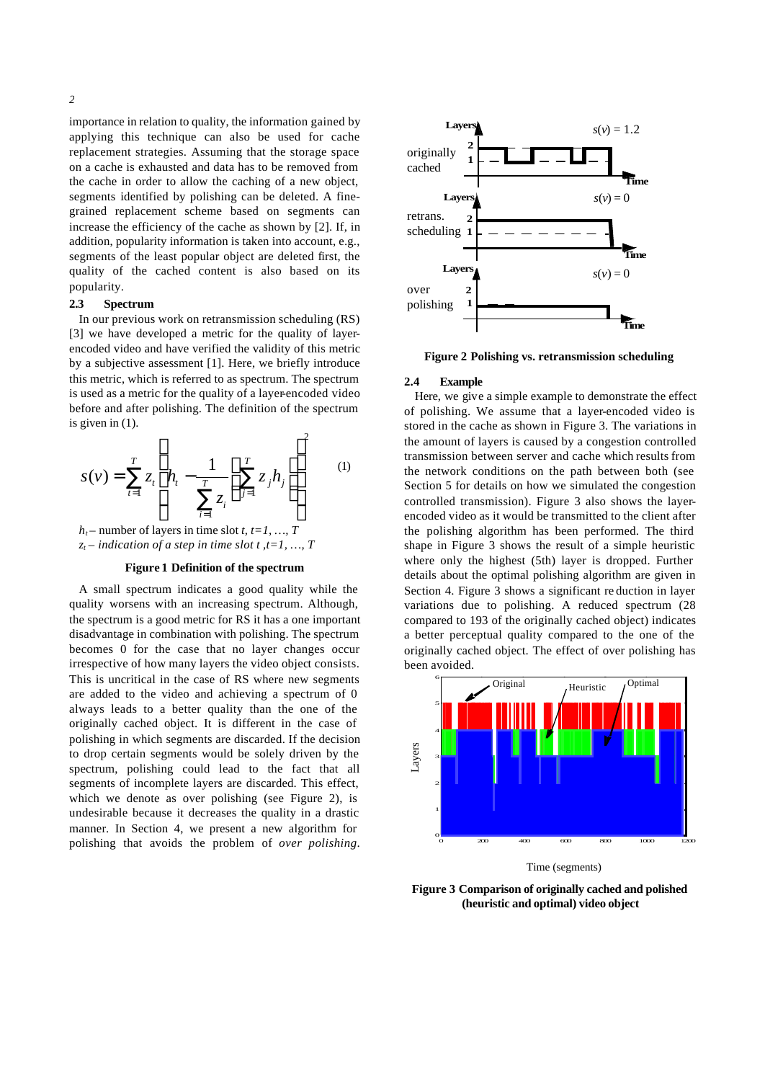importance in relation to quality, the information gained by applying this technique can also be used for cache replacement strategies. Assuming that the storage space on a cache is exhausted and data has to be removed from the cache in order to allow the caching of a new object, segments identified by polishing can be deleted. A finegrained replacement scheme based on segments can increase the efficiency of the cache as shown by [2]. If, in addition, popularity information is taken into account, e.g., segments of the least popular object are deleted first, the quality of the cached content is also based on its popularity.

# **2.3 Spectrum**

In our previous work on retransmission scheduling (RS) [3] we have developed a metric for the quality of layerencoded video and have verified the validity of this metric by a subjective assessment [1]. Here, we briefly introduce this metric, which is referred to as spectrum. The spectrum is used as a metric for the quality of a layer-encoded video before and after polishing. The definition of the spectrum is given in (1).  $\overline{2}$ 

$$
s(v) = \sum_{i=1}^{T} z_i \left( h_i - \frac{1}{\sum_{i=1}^{T} z_i} \left( \sum_{j=1}^{T} z_j h_j \right) \right)^2 \tag{1}
$$

 $h_t$  – number of layers in time slot *t*,  $t = 1, ..., T$  $z_t$  – *indication of a step in time slot t,t*=1, ..., *T* 

#### **Figure 1 Definition of the spectrum**

A small spectrum indicates a good quality while the quality worsens with an increasing spectrum. Although, the spectrum is a good metric for RS it has a one important disadvantage in combination with polishing. The spectrum becomes 0 for the case that no layer changes occur irrespective of how many layers the video object consists. This is uncritical in the case of RS where new segments are added to the video and achieving a spectrum of 0 always leads to a better quality than the one of the originally cached object. It is different in the case of polishing in which segments are discarded. If the decision to drop certain segments would be solely driven by the spectrum, polishing could lead to the fact that all segments of incomplete layers are discarded. This effect, which we denote as over polishing (see Figure 2), is undesirable because it decreases the quality in a drastic manner. In Section 4, we present a new algorithm for polishing that avoids the problem of *over polishing*.



**Figure 2 Polishing vs. retransmission scheduling**

#### **2.4 Example**

Here, we give a simple example to demonstrate the effect of polishing. We assume that a layer-encoded video is stored in the cache as shown in Figure 3. The variations in the amount of layers is caused by a congestion controlled transmission between server and cache which results from the network conditions on the path between both (see Section 5 for details on how we simulated the congestion controlled transmission). Figure 3 also shows the layerencoded video as it would be transmitted to the client after the polishing algorithm has been performed. The third shape in Figure 3 shows the result of a simple heuristic where only the highest (5th) layer is dropped. Further details about the optimal polishing algorithm are given in Section 4. Figure 3 shows a significant re duction in layer variations due to polishing. A reduced spectrum (28 compared to 193 of the originally cached object) indicates a better perceptual quality compared to the one of the originally cached object. The effect of over polishing has been avoided.



Time (segments)

**Figure 3 Comparison of originally cached and polished (heuristic and optimal) video object**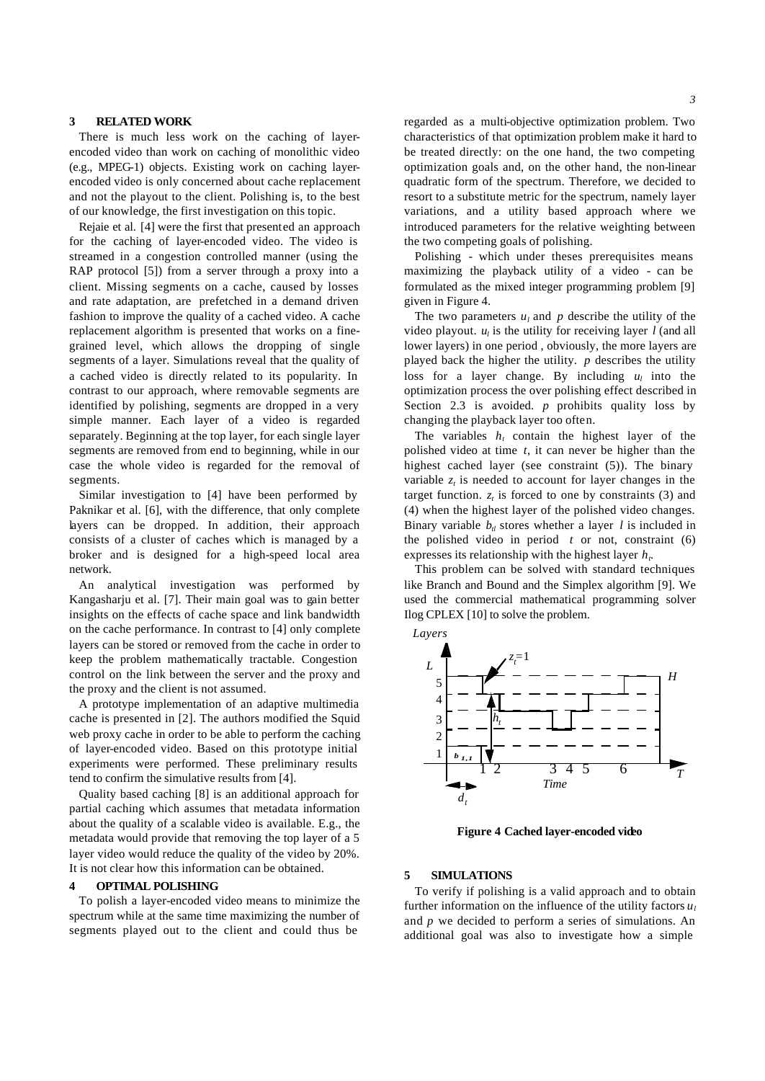### **3 RELATED WORK**

There is much less work on the caching of layerencoded video than work on caching of monolithic video (e.g., MPEG-1) objects. Existing work on caching layerencoded video is only concerned about cache replacement and not the playout to the client. Polishing is, to the best of our knowledge, the first investigation on this topic.

Rejaie et al. [4] were the first that presented an approach for the caching of layer-encoded video. The video is streamed in a congestion controlled manner (using the RAP protocol [5]) from a server through a proxy into a client. Missing segments on a cache, caused by losses and rate adaptation, are prefetched in a demand driven fashion to improve the quality of a cached video. A cache replacement algorithm is presented that works on a finegrained level, which allows the dropping of single segments of a layer. Simulations reveal that the quality of a cached video is directly related to its popularity. In contrast to our approach, where removable segments are identified by polishing, segments are dropped in a very simple manner. Each layer of a video is regarded separately. Beginning at the top layer, for each single layer segments are removed from end to beginning, while in our case the whole video is regarded for the removal of segments.

Similar investigation to [4] have been performed by Paknikar et al. [6], with the difference, that only complete layers can be dropped. In addition, their approach consists of a cluster of caches which is managed by a broker and is designed for a high-speed local area network.

An analytical investigation was performed by Kangasharju et al. [7]. Their main goal was to gain better insights on the effects of cache space and link bandwidth on the cache performance. In contrast to [4] only complete layers can be stored or removed from the cache in order to keep the problem mathematically tractable. Congestion control on the link between the server and the proxy and the proxy and the client is not assumed.

A prototype implementation of an adaptive multimedia cache is presented in [2]. The authors modified the Squid web proxy cache in order to be able to perform the caching of layer-encoded video. Based on this prototype initial experiments were performed. These preliminary results tend to confirm the simulative results from [4].

Quality based caching [8] is an additional approach for partial caching which assumes that metadata information about the quality of a scalable video is available. E.g., the metadata would provide that removing the top layer of a 5 layer video would reduce the quality of the video by 20%. It is not clear how this information can be obtained.

### **4 OPTIMAL POLISHING**

To polish a layer-encoded video means to minimize the spectrum while at the same time maximizing the number of segments played out to the client and could thus be

regarded as a multi-objective optimization problem. Two characteristics of that optimization problem make it hard to be treated directly: on the one hand, the two competing optimization goals and, on the other hand, the non-linear quadratic form of the spectrum. Therefore, we decided to resort to a substitute metric for the spectrum, namely layer variations, and a utility based approach where we introduced parameters for the relative weighting between the two competing goals of polishing.

Polishing - which under theses prerequisites means maximizing the playback utility of a video - can be formulated as the mixed integer programming problem [9] given in Figure 4.

The two parameters  $u_l$  and  $p$  describe the utility of the video playout.  $u_l$  is the utility for receiving layer  $l$  (and all lower layers) in one period , obviously, the more layers are played back the higher the utility. *p* describes the utility loss for a layer change. By including  $u_l$  into the optimization process the over polishing effect described in Section 2.3 is avoided. *p* prohibits quality loss by changing the playback layer too often.

The variables  $h_t$  contain the highest layer of the polished video at time *t*, it can never be higher than the highest cached layer (see constraint (5)). The binary variable  $z_t$  is needed to account for layer changes in the target function.  $z_t$  is forced to one by constraints (3) and (4) when the highest layer of the polished video changes. Binary variable  $b_t$  stores whether a layer *l* is included in the polished video in period  $t$  or not, constraint  $(6)$ expresses its relationship with the highest layer *h<sup>t</sup>* .

This problem can be solved with standard techniques like Branch and Bound and the Simplex algorithm [9]. We used the commercial mathematical programming solver Ilog CPLEX [10] to solve the problem.





**Figure 4 Cached layer-encoded video**

#### **5 SIMULATIONS**

To verify if polishing is a valid approach and to obtain further information on the influence of the utility factors  $u_l$ and *p* we decided to perform a series of simulations. An additional goal was also to investigate how a simple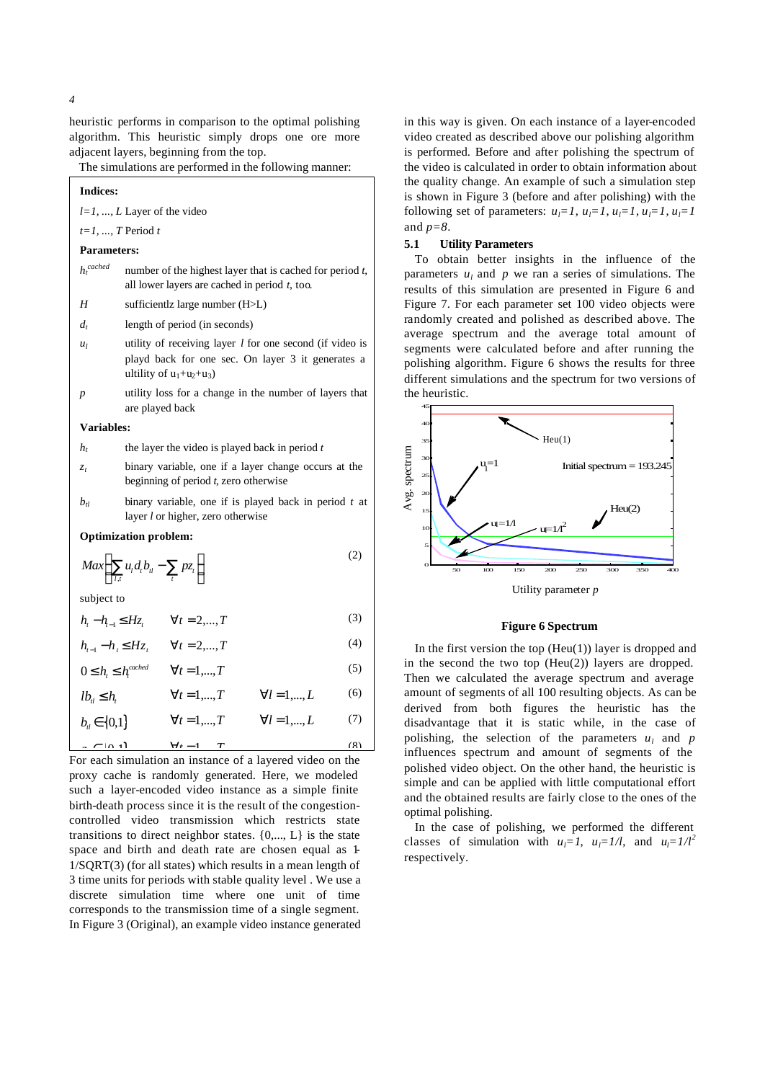heuristic performs in comparison to the optimal polishing algorithm. This heuristic simply drops one ore more adjacent layers, beginning from the top.

The simulations are performed in the following manner:

| <b>Indices:</b>               |                                                                                                                                              |  |  |  |  |
|-------------------------------|----------------------------------------------------------------------------------------------------------------------------------------------|--|--|--|--|
| $l=1, , L$ Layer of the video |                                                                                                                                              |  |  |  |  |
| $t=1, , T$ Period t           |                                                                                                                                              |  |  |  |  |
| <b>Parameters:</b>            |                                                                                                                                              |  |  |  |  |
| $h_t^{\,cached}$              | number of the highest layer that is cached for period $t$ ,<br>all lower layers are cached in period $t$ , too.                              |  |  |  |  |
| H                             | sufficientlz large number (H>L)                                                                                                              |  |  |  |  |
| $d_{t}$                       | length of period (in seconds)                                                                                                                |  |  |  |  |
| $u_l$                         | utility of receiving layer $l$ for one second (if video is<br>playd back for one sec. On layer 3 it generates a<br>ultility of $u_1+u_2+u_3$ |  |  |  |  |
| р                             | utility loss for a change in the number of layers that<br>are played back                                                                    |  |  |  |  |
| Variables:                    |                                                                                                                                              |  |  |  |  |
| h,                            | the layer the video is played back in period $t$                                                                                             |  |  |  |  |
| $\mathcal{Z}_t$               | binary variable, one if a layer change occurs at the<br>beginning of period $t$ , zero otherwise                                             |  |  |  |  |
| $b_{\rm H}$                   | binary variable, one if is played back in period $t$ at<br>layer <i>l</i> or higher, zero otherwise                                          |  |  |  |  |
| <b>Optimization problem:</b>  |                                                                                                                                              |  |  |  |  |
|                               | (2)                                                                                                                                          |  |  |  |  |

$$
Max\bigg(\sum_{l,t} u_l d_t b_{il} - \sum_t p z_t\bigg)
$$
 (2)

subject to

$$
h_{t} - h_{t-1} \leq Hz_{t} \qquad \forall t = 2,...,T
$$
 (3)

$$
h_{t-1} - h_t \le Hz_t \qquad \forall t = 2,...,T
$$
 (4)

$$
0 \le h_{t} \le h_{t}^{cached} \qquad \forall t = 1,...,T
$$
\n<sup>(5)</sup>

$$
lb_u \le h, \qquad \forall t = 1,...,T \qquad \forall l = 1,...,L \qquad (6)
$$

 $\frac{F(A+1)}{F}$  =  $\frac{F(A+1)}{F}$   $\frac{F(A+1)}{F}$   $\frac{F(A+1)}{F}$   $\frac{F(A+1)}{F}$   $\frac{F(A+1)}{F}$   $\frac{F(A+1)}{F}$   $\frac{F(A+1)}{F}$   $\frac{F(A+1)}{F}$   $\frac{F(A+1)}{F}$   $\frac{F(A+1)}{F}$   $\frac{F(A+1)}{F}$   $\frac{F(A+1)}{F}$   $\frac{F(A+1)}{F}$   $\frac{F(A+1)}{F}$   $\frac{F(A+1)}$  $b_{i} \in \{0,1\}$   $\forall t = 1,...,T$   $\forall l = 1,...,L$  (7)

proxy cache is randomly generated. Here, we modeled such a layer-encoded video instance as a simple finite birth-death process since it is the result of the congestioncontrolled video transmission which restricts state transitions to direct neighbor states.  $\{0, \ldots, L\}$  is the state space and birth and death rate are chosen equal as 1- 1/SQRT(3) (for all states) which results in a mean length of 3 time units for periods with stable quality level . We use a discrete simulation time where one unit of time corresponds to the transmission time of a single segment. In Figure 3 (Original), an example video instance generated in this way is given. On each instance of a layer-encoded video created as described above our polishing algorithm is performed. Before and after polishing the spectrum of the video is calculated in order to obtain information about the quality change. An example of such a simulation step is shown in Figure 3 (before and after polishing) with the following set of parameters:  $u_l = 1$ ,  $u_l = 1$ ,  $u_l = 1$ ,  $u_l = 1$ ,  $u_l = 1$ and *p=8*.

## **5.1 Utility Parameters**

To obtain better insights in the influence of the parameters  $u_l$  and  $p$  we ran a series of simulations. The results of this simulation are presented in Figure 6 and Figure 7. For each parameter set 100 video objects were randomly created and polished as described above. The average spectrum and the average total amount of segments were calculated before and after running the polishing algorithm. Figure 6 shows the results for three different simulations and the spectrum for two versions of the heuristic.



#### **Figure 6 Spectrum**

In the first version the top  $(Heu(1))$  layer is dropped and in the second the two top  $(Heu(2))$  layers are dropped. Then we calculated the average spectrum and average amount of segments of all 100 resulting objects. As can be derived from both figures the heuristic has the disadvantage that it is static while, in the case of polishing, the selection of the parameters  $u_l$  and  $p$ influences spectrum and amount of segments of the polished video object. On the other hand, the heuristic is simple and can be applied with little computational effort and the obtained results are fairly close to the ones of the optimal polishing.

In the case of polishing, we performed the different classes of simulation with  $u_l = 1$ ,  $u_l = 1/l$ , and  $u_l = 1/l^2$ respectively.

*4*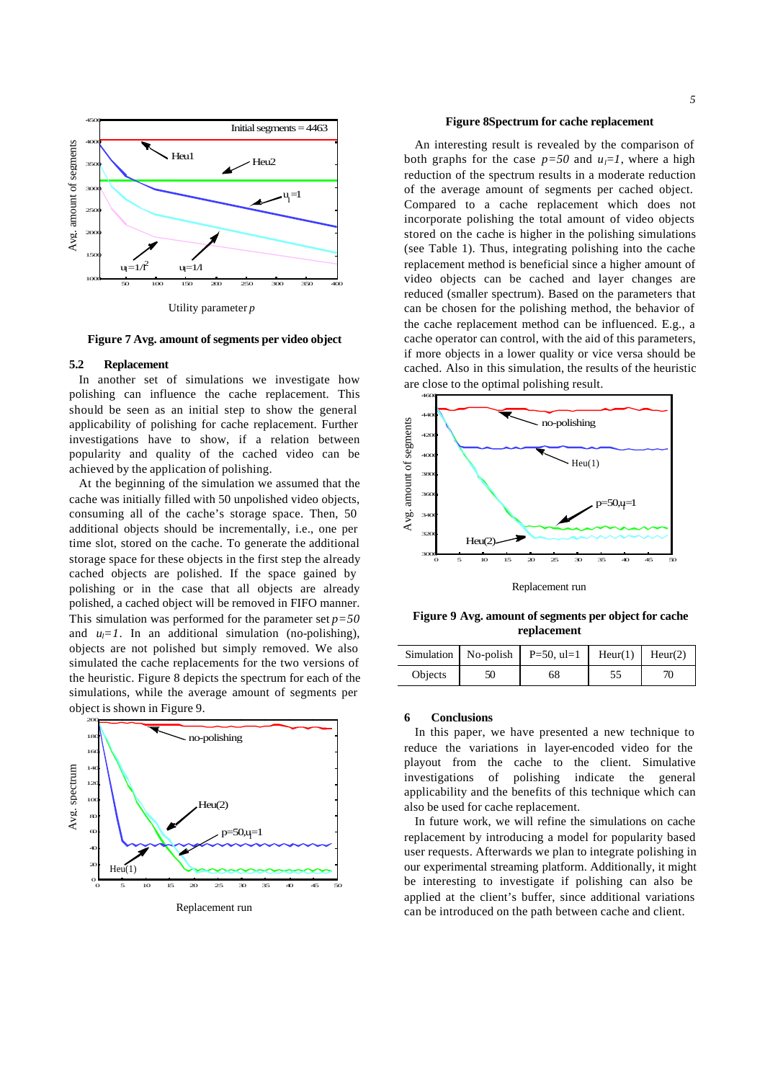



**Figure 7 Avg. amount of segments per video object**

#### **5.2 Replacement**

In another set of simulations we investigate how polishing can influence the cache replacement. This should be seen as an initial step to show the general applicability of polishing for cache replacement. Further investigations have to show, if a relation between popularity and quality of the cached video can be achieved by the application of polishing.

At the beginning of the simulation we assumed that the cache was initially filled with 50 unpolished video objects, consuming all of the cache's storage space. Then, 50 additional objects should be incrementally, i.e., one per time slot, stored on the cache. To generate the additional storage space for these objects in the first step the already cached objects are polished. If the space gained by polishing or in the case that all objects are already polished, a cached object will be removed in FIFO manner. This simulation was performed for the parameter set  $p=50$ and  $u_l = 1$ . In an additional simulation (no-polishing), objects are not polished but simply removed. We also simulated the cache replacements for the two versions of the heuristic. Figure 8 depicts the spectrum for each of the simulations, while the average amount of segments per object is shown in Figure 9.



Replacement run

#### **Figure 8Spectrum for cache replacement**

An interesting result is revealed by the comparison of both graphs for the case  $p=50$  and  $u_i=1$ , where a high reduction of the spectrum results in a moderate reduction of the average amount of segments per cached object. Compared to a cache replacement which does not incorporate polishing the total amount of video objects stored on the cache is higher in the polishing simulations (see Table 1). Thus, integrating polishing into the cache replacement method is beneficial since a higher amount of video objects can be cached and layer changes are reduced (smaller spectrum). Based on the parameters that can be chosen for the polishing method, the behavior of the cache replacement method can be influenced. E.g., a cache operator can control, with the aid of this parameters, if more objects in a lower quality or vice versa should be cached. Also in this simulation, the results of the heuristic are close to the optimal polishing result.



Replacement run

**Figure 9 Avg. amount of segments per object for cache replacement**

|                | Simulation   No-polish   P=50, ul=1   Heur(1)   Heur(2) |  |
|----------------|---------------------------------------------------------|--|
| <b>Objects</b> |                                                         |  |

#### **6 Conclusions**

In this paper, we have presented a new technique to reduce the variations in layer-encoded video for the playout from the cache to the client. Simulative investigations of polishing indicate the general applicability and the benefits of this technique which can also be used for cache replacement.

In future work, we will refine the simulations on cache replacement by introducing a model for popularity based user requests. Afterwards we plan to integrate polishing in our experimental streaming platform. Additionally, it might be interesting to investigate if polishing can also be applied at the client's buffer, since additional variations can be introduced on the path between cache and client.